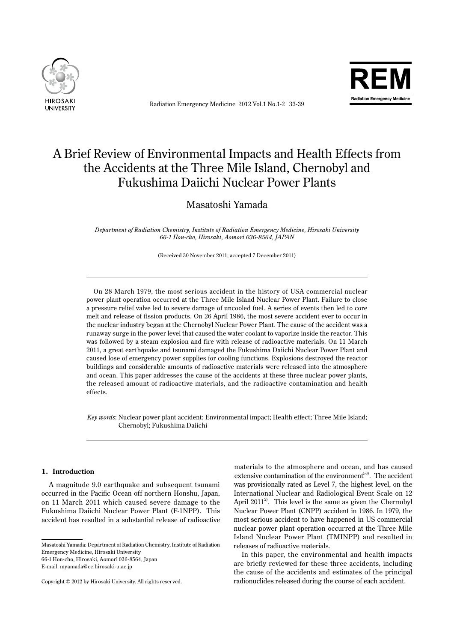

Radiation Emergency Medicine 2012 Vol.1 No.1-2 33-39



# A Brief Review of Environmental Impacts and Health Effects from the Accidents at the Three Mile Island, Chernobyl and Fukushima Daiichi Nuclear Power Plants

Masatoshi Yamada

*Department of Radiation Chemistry, Institute of Radiation Emergency Medicine, Hirosaki University 66-1 Hon-cho, Hirosaki, Aomori 036-8564, JAPAN*

(Received 30 November 2011; accepted 7 December 2011)

 On 28 March 1979, the most serious accident in the history of USA commercial nuclear power plant operation occurred at the Three Mile Island Nuclear Power Plant. Failure to close a pressure relief valve led to severe damage of uncooled fuel. A series of events then led to core melt and release of fission products. On 26 April 1986, the most severe accident ever to occur in the nuclear industry began at the Chernobyl Nuclear Power Plant. The cause of the accident was a runaway surge in the power level that caused the water coolant to vaporize inside the reactor. This was followed by a steam explosion and fire with release of radioactive materials. On 11 March 2011, a great earthquake and tsunami damaged the Fukushima Daiichi Nuclear Power Plant and caused lose of emergency power supplies for cooling functions. Explosions destroyed the reactor buildings and considerable amounts of radioactive materials were released into the atmosphere and ocean. This paper addresses the cause of the accidents at these three nuclear power plants, the released amount of radioactive materials, and the radioactive contamination and health effects.

*Key words*: Nuclear power plant accident; Environmental impact; Health effect; Three Mile Island; Chernobyl; Fukushima Daiichi

# **1. Introduction**

 A magnitude 9.0 earthquake and subsequent tsunami occurred in the Pacific Ocean off northern Honshu, Japan, on 11 March 2011 which caused severe damage to the Fukushima Daiichi Nuclear Power Plant (F-1NPP). This accident has resulted in a substantial release of radioactive

Masatoshi Yamada: Department of Radiation Chemistry, Institute of Radiation Emergency Medicine, Hirosaki University 66-1 Hon-cho, Hirosaki, Aomori 036-8564, Japan

E-mail: myamada@cc.hirosaki-u.ac.jp

materials to the atmosphere and ocean, and has caused extensive contamination of the environment $1^{33}$ . The accident was provisionally rated as Level 7, the highest level, on the International Nuclear and Radiological Event Scale on 12 April 2011<sup>2</sup>. This level is the same as given the Chernobyl Nuclear Power Plant (CNPP) accident in 1986. In 1979, the most serious accident to have happened in US commercial nuclear power plant operation occurred at the Three Mile Island Nuclear Power Plant (TMINPP) and resulted in releases of radioactive materials.

In this paper, the environmental and health impacts are briefly reviewed for these three accidents, including the cause of the accidents and estimates of the principal radionuclides released during the course of each accident.

Copyright © 2012 by Hirosaki University. All rights reserved.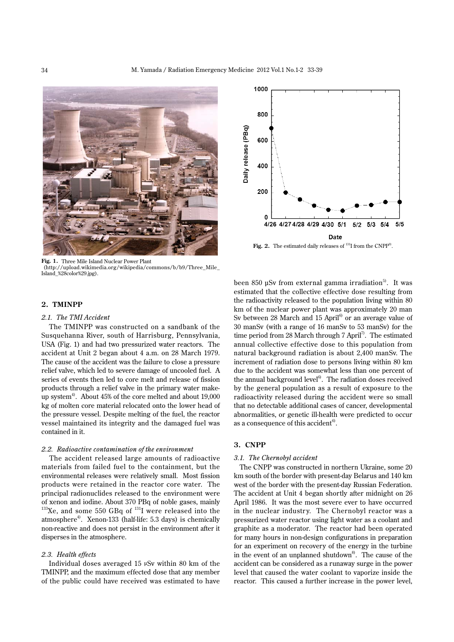

**Fig. 1.** Three Mile Island Nuclear Power Plant (http://upload.wikimedia.org/wikipedia/commons/b/b9/Three\_Mile\_ Island\_%28color%29.jpg).

## **2. TMINPP**

#### *2.1. The TMI Accident*

 The TMINPP was constructed on a sandbank of the Susquehanna River, south of Harrisburg, Pennsylvania, USA (Fig. 1) and had two pressurized water reactors. The accident at Unit 2 began about 4 a.m. on 28 March 1979. The cause of the accident was the failure to close a pressure relief valve, which led to severe damage of uncooled fuel. A series of events then led to core melt and release of fission products through a relief valve in the primary water makeup system<sup>4)</sup>. About 45% of the core melted and about 19,000 kg of molten core material relocated onto the lower head of the pressure vessel. Despite melting of the fuel, the reactor vessel maintained its integrity and the damaged fuel was contained in it.

#### *2.2. Radioactive contamination of the environment*

 The accident released large amounts of radioactive materials from failed fuel to the containment, but the environmental releases were relatively small. Most fission products were retained in the reactor core water. The principal radionuclides released to the environment were of xenon and iodine. About 370 PBq of noble gases, mainly  $^{133}\text{Xe}$ , and some 550 GBq of  $^{131}\text{I}$  were released into the atmosphere<sup>4)</sup>. Xenon-133 (half-life: 5.3 days) is chemically non-reactive and does not persist in the environment after it disperses in the atmosphere.

## *2.3. Health effects*

 Individual doses averaged 15 μSv within 80 km of the TMINPP, and the maximum effected dose that any member of the public could have received was estimated to have



Fig. 2. The estimated daily releases of <sup>131</sup>I from the CNPP<sup>9</sup>.

been 850 µSv from external gamma irradiation<sup>5)</sup>. It was estimated that the collective effective dose resulting from the radioactivity released to the population living within 80 km of the nuclear power plant was approximately 20 man Sv between 28 March and 15 April<sup>6</sup> or an average value of 30 manSv (with a range of 16 manSv to 53 manSv) for the time period from 28 March through 7 April<sup>7</sup>. The estimated annual collective effective dose to this population from natural background radiation is about 2,400 manSv. The increment of radiation dose to persons living within 80 km due to the accident was somewhat less than one percent of the annual background level<sup>6</sup>. The radiation doses received by the general population as a result of exposure to the radioactivity released during the accident were so small that no detectable additional cases of cancer, developmental abnormalities, or genetic ill-health were predicted to occur as a consequence of this accident<sup>6</sup>.

# **3. CNPP**

#### *3.1. The Chernobyl accident*

 The CNPP was constructed in northern Ukraine, some 20 km south of the border with present-day Belarus and 140 km west of the border with the present-day Russian Federation. The accident at Unit 4 began shortly after midnight on 26 April 1986. It was the most severe ever to have occurred in the nuclear industry. The Chernobyl reactor was a pressurized water reactor using light water as a coolant and graphite as a moderator. The reactor had been operated for many hours in non-design configurations in preparation for an experiment on recovery of the energy in the turbine in the event of an unplanned shutdown<sup>8</sup>. The cause of the accident can be considered as a runaway surge in the power level that caused the water coolant to vaporize inside the reactor. This caused a further increase in the power level,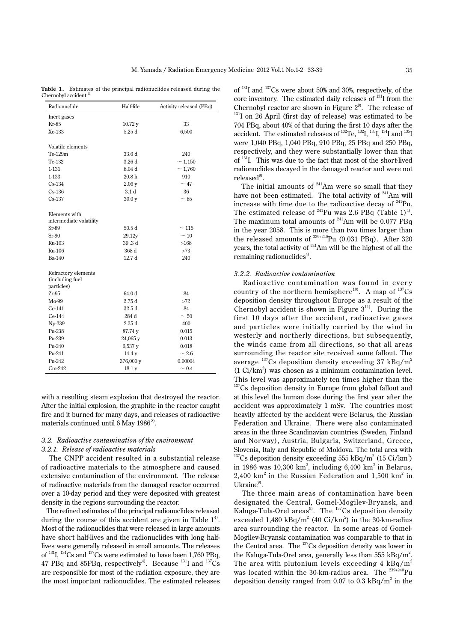**Table 1.** Estimates of the principal radionuclides released during the Chernobyl accident<sup>4</sup>

| Inert gases<br>33<br>Kr-85<br>10.72y<br>Xe-133<br>5.25d<br>6,500<br>Volatile elements<br>Te-129m<br>33.6 d<br>240<br>Te-132<br>3.26 d<br>~1,150<br>1-131<br>8.04 <sub>d</sub><br>~1,760<br>20.8 h<br>1-133<br>910<br>~17<br>$Cs-134$<br>2.06y<br>3.1 <sub>d</sub><br>$Cs-136$<br>36<br>$Cs-137$<br>30.0 <sub>v</sub><br>$~1$ 85<br>Elements with<br>intermediate volatility<br>Sr-89<br>50.5d<br>$\sim$ 115<br>$Sr-90$<br>29.12y<br>~10<br>Ru-103<br>39.3d<br>>168<br>368 d<br>Ru-106<br>>73<br>Ba-140<br>12.7d<br>240<br>Refractory elements<br>(including fuel<br>particles)<br>$Zr-95$<br>64.0 d<br>84<br>Mo-99<br>2.75d<br>>72<br>$Ce-141$<br>32.5d<br>84<br>Ce-144<br>284 d<br>$~1$ 50<br>Np-239<br>2.35d<br>400<br>Pu-238<br>87.74 y<br>0.015<br>Pu-239<br>24,065 y<br>0.013<br>Pu-240<br>6,537 y<br>0.018<br>Pu-241<br>14.4 y<br>$~1$ 2.6<br>Pu-242<br>376,000 y<br>0.00004 | Radionuclide | Half-life | Activity released (PBq) |
|------------------------------------------------------------------------------------------------------------------------------------------------------------------------------------------------------------------------------------------------------------------------------------------------------------------------------------------------------------------------------------------------------------------------------------------------------------------------------------------------------------------------------------------------------------------------------------------------------------------------------------------------------------------------------------------------------------------------------------------------------------------------------------------------------------------------------------------------------------------------------------|--------------|-----------|-------------------------|
|                                                                                                                                                                                                                                                                                                                                                                                                                                                                                                                                                                                                                                                                                                                                                                                                                                                                                    |              |           |                         |
|                                                                                                                                                                                                                                                                                                                                                                                                                                                                                                                                                                                                                                                                                                                                                                                                                                                                                    |              |           |                         |
|                                                                                                                                                                                                                                                                                                                                                                                                                                                                                                                                                                                                                                                                                                                                                                                                                                                                                    |              |           |                         |
|                                                                                                                                                                                                                                                                                                                                                                                                                                                                                                                                                                                                                                                                                                                                                                                                                                                                                    |              |           |                         |
|                                                                                                                                                                                                                                                                                                                                                                                                                                                                                                                                                                                                                                                                                                                                                                                                                                                                                    |              |           |                         |
|                                                                                                                                                                                                                                                                                                                                                                                                                                                                                                                                                                                                                                                                                                                                                                                                                                                                                    |              |           |                         |
|                                                                                                                                                                                                                                                                                                                                                                                                                                                                                                                                                                                                                                                                                                                                                                                                                                                                                    |              |           |                         |
|                                                                                                                                                                                                                                                                                                                                                                                                                                                                                                                                                                                                                                                                                                                                                                                                                                                                                    |              |           |                         |
|                                                                                                                                                                                                                                                                                                                                                                                                                                                                                                                                                                                                                                                                                                                                                                                                                                                                                    |              |           |                         |
|                                                                                                                                                                                                                                                                                                                                                                                                                                                                                                                                                                                                                                                                                                                                                                                                                                                                                    |              |           |                         |
|                                                                                                                                                                                                                                                                                                                                                                                                                                                                                                                                                                                                                                                                                                                                                                                                                                                                                    |              |           |                         |
|                                                                                                                                                                                                                                                                                                                                                                                                                                                                                                                                                                                                                                                                                                                                                                                                                                                                                    |              |           |                         |
|                                                                                                                                                                                                                                                                                                                                                                                                                                                                                                                                                                                                                                                                                                                                                                                                                                                                                    |              |           |                         |
|                                                                                                                                                                                                                                                                                                                                                                                                                                                                                                                                                                                                                                                                                                                                                                                                                                                                                    |              |           |                         |
|                                                                                                                                                                                                                                                                                                                                                                                                                                                                                                                                                                                                                                                                                                                                                                                                                                                                                    |              |           |                         |
|                                                                                                                                                                                                                                                                                                                                                                                                                                                                                                                                                                                                                                                                                                                                                                                                                                                                                    |              |           |                         |
|                                                                                                                                                                                                                                                                                                                                                                                                                                                                                                                                                                                                                                                                                                                                                                                                                                                                                    |              |           |                         |
|                                                                                                                                                                                                                                                                                                                                                                                                                                                                                                                                                                                                                                                                                                                                                                                                                                                                                    |              |           |                         |
|                                                                                                                                                                                                                                                                                                                                                                                                                                                                                                                                                                                                                                                                                                                                                                                                                                                                                    |              |           |                         |
|                                                                                                                                                                                                                                                                                                                                                                                                                                                                                                                                                                                                                                                                                                                                                                                                                                                                                    |              |           |                         |
|                                                                                                                                                                                                                                                                                                                                                                                                                                                                                                                                                                                                                                                                                                                                                                                                                                                                                    |              |           |                         |
|                                                                                                                                                                                                                                                                                                                                                                                                                                                                                                                                                                                                                                                                                                                                                                                                                                                                                    |              |           |                         |
|                                                                                                                                                                                                                                                                                                                                                                                                                                                                                                                                                                                                                                                                                                                                                                                                                                                                                    |              |           |                         |
|                                                                                                                                                                                                                                                                                                                                                                                                                                                                                                                                                                                                                                                                                                                                                                                                                                                                                    |              |           |                         |
|                                                                                                                                                                                                                                                                                                                                                                                                                                                                                                                                                                                                                                                                                                                                                                                                                                                                                    |              |           |                         |
|                                                                                                                                                                                                                                                                                                                                                                                                                                                                                                                                                                                                                                                                                                                                                                                                                                                                                    |              |           |                         |
|                                                                                                                                                                                                                                                                                                                                                                                                                                                                                                                                                                                                                                                                                                                                                                                                                                                                                    |              |           |                         |
|                                                                                                                                                                                                                                                                                                                                                                                                                                                                                                                                                                                                                                                                                                                                                                                                                                                                                    |              |           |                         |
|                                                                                                                                                                                                                                                                                                                                                                                                                                                                                                                                                                                                                                                                                                                                                                                                                                                                                    |              |           |                         |
|                                                                                                                                                                                                                                                                                                                                                                                                                                                                                                                                                                                                                                                                                                                                                                                                                                                                                    |              |           |                         |
|                                                                                                                                                                                                                                                                                                                                                                                                                                                                                                                                                                                                                                                                                                                                                                                                                                                                                    |              |           |                         |
|                                                                                                                                                                                                                                                                                                                                                                                                                                                                                                                                                                                                                                                                                                                                                                                                                                                                                    |              |           |                         |
|                                                                                                                                                                                                                                                                                                                                                                                                                                                                                                                                                                                                                                                                                                                                                                                                                                                                                    |              |           |                         |
|                                                                                                                                                                                                                                                                                                                                                                                                                                                                                                                                                                                                                                                                                                                                                                                                                                                                                    | $Cm-242$     | 18.1 y    | $\sim 0.4$              |

with a resulting steam explosion that destroyed the reactor. After the initial explosion, the graphite in the reactor caught fire and it burned for many days, and releases of radioactive materials continued until 6 May 1986<sup>8</sup>.

## *3.2. Radioactive contamination of the environment 3.2.1. Release of radioactive materials*

 The CNPP accident resulted in a substantial release of radioactive materials to the atmosphere and caused extensive contamination of the environment. The release of radioactive materials from the damaged reactor occurred over a 10-day period and they were deposited with greatest density in the regions surrounding the reactor.

 The refined estimates of the principal radionuclides released during the course of this accident are given in Table  $1<sup>4</sup>$ . Most of the radionuclides that were released in large amounts have short half-lives and the radionuclides with long halflives were generally released in small amounts. The releases of  $^{131}$ I,  $^{134}$ Cs and  $^{137}$ Cs were estimated to have been 1,760 PBq, 47 PBq and 85PBq, respectively<sup>4)</sup>. Because  $^{131}$ I and  $^{137}$ Cs are responsible for most of the radiation exposure, they are the most important radionuclides. The estimated releases

of <sup>131</sup> I and <sup>137</sup> Cs were about 50% and 30%, respectively, of the core inventory. The estimated daily releases of <sup>131</sup>I from the Chernobyl reactor are shown in Figure  $2^9$ . The release of <sup>131</sup>I on 26 April (first day of release) was estimated to be 704 PBq, about 40% of that during the first 10 days after the accident. The estimated releases of  $^{132}$ Te,  $^{132}$ I,  $^{133}$ I,  $^{134}$ I and  $^{135}$ I were 1,040 PBq, 1,040 PBq, 910 PBq, 25 PBq and 250 PBq, respectively, and they were substantially lower than that of <sup>131</sup> I. This was due to the fact that most of the short-lived radionuclides decayed in the damaged reactor and were not released<sup>9)</sup>.

The initial amounts of  $241$ Am were so small that they have not been estimated. The total activity of <sup>241</sup>Am will increase with time due to the radioactive decay of <sup>241</sup>Pu. The estimated release of  $^{241}$ Pu was 2.6 PBq (Table 1)<sup>4)</sup>. The maximum total amounts of  $^{241}$ Am will be 0.077 PBq in the year 2058. This is more than two times larger than the released amounts of  $^{239+240}$ Pu (0.031 PBq). After 320 years, the total activity of <sup>241</sup>Am will be the highest of all the remaining radionuclides<sup>4)</sup>.

#### *3.2.2. Radioactive contamination*

 Radioactive contamination was found in ever y country of the northern hemisphere<sup>10</sup>. A map of  $137$ Cs deposition density throughout Europe as a result of the Chernobyl accident is shown in Figure  $3<sup>11</sup>$ . During the first 10 days after the accident, radioactive gases and particles were initially carried by the wind in westerly and northerly directions, but subsequently, the winds came from all directions, so that all areas surrounding the reactor site received some fallout. The average  $^{137}$ Cs deposition density exceeding 37 kBq/m<sup>2</sup> (1 Ci/km<sup>2</sup> ) was chosen as a minimum contamination level. This level was approximately ten times higher than the

<sup>137</sup>Cs deposition density in Europe from global fallout and at this level the human dose during the first year after the accident was approximately 1 mSv. The countries most heavily affected by the accident were Belarus, the Russian Federation and Ukraine. There were also contaminated areas in the three Scandinavian countries (Sweden, Finland and Norway), Austria, Bulgaria, Switzerland, Greece, Slovenia, Italy and Republic of Moldova. The total area with <sup>137</sup>Cs deposition density exceeding 555 kBq/m<sup>2</sup> (15 Ci/km<sup>2</sup>) in 1986 was 10,300  $km^2$ , including 6,400  $km^2$  in Belarus, 2,400 km<sup>2</sup> in the Russian Federation and  $1,500$  km<sup>2</sup> in Ukraine<sup>9)</sup>.

 The three main areas of contamination have been designated the Central, Gomel-Mogilev-Br yansk, and Kaluga-Tula-Orel areas<sup>9)</sup>. The <sup>137</sup>Cs deposition density exceeded  $1,480$  kBq/m<sup>2</sup> (40 Ci/km<sup>2</sup>) in the 30-km-radius area surrounding the reactor. In some areas of Gomel-Mogilev-Bryansk contamination was comparable to that in the Central area. The  $^{137}$ Cs deposition density was lower in the Kaluga-Tula-Orel area, generally less than 555  $kBq/m^2$ . The area with plutonium levels exceeding 4  $kBq/m^2$ was located within the 30-km-radius area. The <sup>239+240</sup>Pu deposition density ranged from 0.07 to 0.3  $kBq/m^2$  in the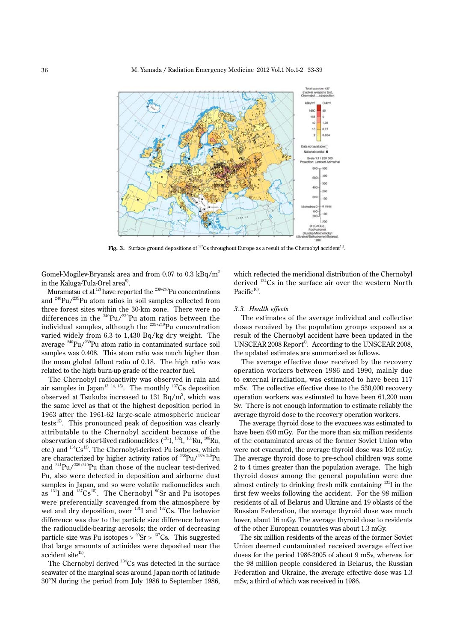

Fig. 3. Surface ground depositions of  $137$ Cs throughout Europe as a result of the Chernobyl accident<sup>11</sup>.

Gomel-Mogilev-Bryansk area and from 0.07 to 0.3  $kBq/m^2$ in the Kaluga-Tula-Orel area $^{\text{\tiny 9)}}$ .

Muramatsu et al.<sup>12)</sup> have reported the  $239+240$ Pu concentrations and <sup>240</sup> Pu/<sup>239</sup> Pu atom ratios in soil samples collected from three forest sites within the 30-km zone. There were no differences in the  $^{240}$ Pu/ $^{239}$ Pu atom ratios between the individual samples, although the  $^{239+240}\rm{Pu}$  concentration varied widely from 6.3 to 1,430 Bq/kg dry weight. The average <sup>240</sup>Pu/<sup>239</sup>Pu atom ratio in contaminated surface soil samples was 0.408. This atom ratio was much higher than the mean global fallout ratio of 0.18. The high ratio was related to the high burn-up grade of the reactor fuel.

 The Chernobyl radioactivity was observed in rain and air samples in Japan<sup>13, 14, 15</sup>. The monthly  $137Cs$  deposition observed at Tsukuba increased to 131 Bq/m<sup>2</sup>, which was the same level as that of the highest deposition period in 1963 after the 1961-62 large-scale atmospheric nuclear tests<sup>15)</sup>. This pronounced peak of deposition was clearly attributable to the Chernobyl accident because of the observation of short-lived radionuclides  $(^{131}\text{I},\ ^{132}\text{I},\ ^{103}\text{Ru},\ ^{106}\text{Ru},$ etc.) and <sup>134</sup>Cs<sup>13</sup>. The Chernobyl-derived Pu isotopes, which are characterized by higher activity ratios of  $^{238}\rm{Pu} / ^{239+240}\rm{Pu}$ and  $^{241}$ Pu/ $^{239+240}$ Pu than those of the nuclear test-derived Pu, also were detected in deposition and airborne dust samples in Japan, and so were volatile radionuclides such as  $^{131}I$  and  $^{137}Cs^{15}$ . The Chernobyl  $^{90}Sr$  and Pu isotopes were preferentially scavenged from the atmosphere by wet and dry deposition, over <sup>131</sup>I and <sup>137</sup>Cs. The behavior difference was due to the particle size difference between the radionuclide-bearing aerosols; the order of decreasing particle size was Pu isotopes >  $^{90}Sr > ^{137}Cs$ . This suggested that large amounts of actinides were deposited near the accident site<sup>15)</sup>.

The Chernobyl derived <sup>134</sup>Cs was detected in the surface seawater of the marginal seas around Japan north of latitude 30°N during the period from July 1986 to September 1986, which reflected the meridional distribution of the Chernobyl derived <sup>134</sup>Cs in the surface air over the western North Pacific<sup>16)</sup>.

#### *3.3. Health effects*

 The estimates of the average individual and collective doses received by the population groups exposed as a result of the Chernobyl accident have been updated in the UNSCEAR 2008 Report<sup>4)</sup>. According to the UNSCEAR 2008, the updated estimates are summarized as follows.

 The average effective dose received by the recovery operation workers between 1986 and 1990, mainly due to external irradiation, was estimated to have been 117 mSv. The collective effective dose to the 530,000 recovery operation workers was estimated to have been 61,200 man Sv. There is not enough information to estimate reliably the average thyroid dose to the recovery operation workers.

 The average thyroid dose to the evacuees was estimated to have been 490 mGy. For the more than six million residents of the contaminated areas of the former Soviet Union who were not evacuated, the average thyroid dose was 102 mGy. The average thyroid dose to pre-school children was some 2 to 4 times greater than the population average. The high thyroid doses among the general population were due almost entirely to drinking fresh milk containing <sup>131</sup>I in the first few weeks following the accident. For the 98 million residents of all of Belarus and Ukraine and 19 oblasts of the Russian Federation, the average thyroid dose was much lower, about 16 mGy. The average thyroid dose to residents of the other European countries was about 1.3 mGy.

 The six million residents of the areas of the former Soviet Union deemed contaminated received average effective doses for the period 1986-2005 of about 9 mSv, whereas for the 98 million people considered in Belarus, the Russian Federation and Ukraine, the average effective dose was 1.3 mSv, a third of which was received in 1986.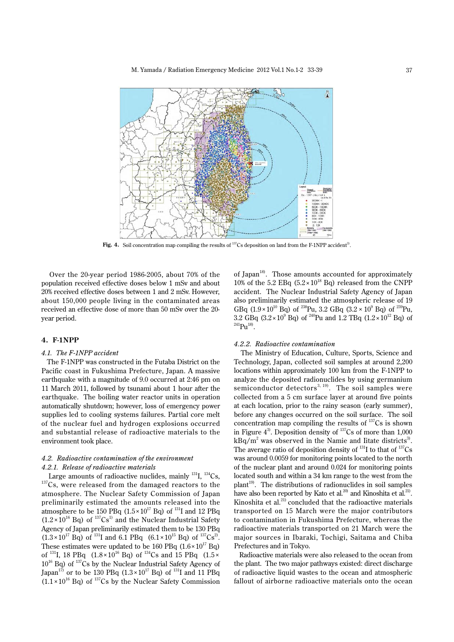

**Fig. 4.** Soil concentration map compiling the results of  $^{137}$ Cs deposition on land from the F-1NPP accident<sup>3</sup>.

 Over the 20-year period 1986-2005, about 70% of the population received effective doses below 1 mSv and about 20% received effective doses between 1 and 2 mSv. However, about 150,000 people living in the contaminated areas received an effective dose of more than 50 mSv over the 20 year period.

## **4. F-1NPP**

#### *4.1. The F-1NPP accident*

 The F-1NPP was constructed in the Futaba District on the Pacific coast in Fukushima Prefecture, Japan. A massive earthquake with a magnitude of 9.0 occurred at 2:46 pm on 11 March 2011, followed by tsunami about 1 hour after the earthquake. The boiling water reactor units in operation automatically shutdown; however, loss of emergency power supplies led to cooling systems failures. Partial core melt of the nuclear fuel and hydrogen explosions occurred and substantial release of radioactive materials to the environment took place.

## *4.2. Radioactive contamination of the environment 4.2.1. Release of radioactive materials*

Large amounts of radioactive nuclides, mainly  $^{131}I$ ,  $^{134}Cs$ ,  $^{137}$ Cs, were released from the damaged reactors to the atmosphere. The Nuclear Safety Commission of Japan preliminarily estimated the amounts released into the atmosphere to be 150 PBq  $(1.5 \times 10^{17}$  Bq) of  $^{131}$ I and 12 PBq  $(1.2 \times 10^{16}$  Bq) of  $^{137}Cs^{1)}$  and the Nuclear Industrial Safety Agency of Japan preliminarily estimated them to be 130 PBq  $(1.3 \times 10^{17} \text{ Bq})$  of <sup>131</sup>I and 6.1 PBq  $(6.1 \times 10^{15} \text{ Bq})$  of <sup>137</sup>Cs<sup>2</sup>. These estimates were updated to be 160 PBq  $(1.6 \times 10^{17}$  Bq) of <sup>131</sup>I, 18 PBq (1.8 × 10<sup>16</sup> Bq) of <sup>134</sup>Cs and 15 PBq (1.5 ×  $10^{16}$  Bq) of  $137$ Cs by the Nuclear Industrial Safety Agency of Japan<sup>17)</sup> or to be 130 PBq  $(1.3 \times 10^{17} \text{ Bq})$  of <sup>131</sup>I and 11 PBq  $(1.1 \times 10^{16}$  Bq) of <sup>137</sup>Cs by the Nuclear Safety Commission

of Japan<sup>18)</sup>. Those amounts accounted for approximately 10% of the 5.2 EBq  $(5.2 \times 10^{18}$  Bq) released from the CNPP accident. The Nuclear Industrial Safety Agency of Japan also preliminarily estimated the atmospheric release of 19 GBq  $(1.9 \times 10^{10}$  Bq) of <sup>238</sup>Pu, 3.2 GBq  $(3.2 \times 10^{9}$  Bq) of <sup>239</sup>Pu, 3.2 GBq  $(3.2 \times 10^9 \text{ Bq})$  of <sup>240</sup>Pu and 1.2 TBq  $(1.2 \times 10^{12} \text{ Bq})$  of  $^{241}Pu^{18)}$ .

#### *4.2.2. Radioactive contamination*

 The Ministry of Education, Culture, Sports, Science and Technology, Japan, collected soil samples at around 2,200 locations within approximately 100 km from the F-1NPP to analyze the deposited radionuclides by using germanium semiconductor detectors<sup>3, 19)</sup>. The soil samples were collected from a 5 cm surface layer at around five points at each location, prior to the rainy season (early summer), before any changes occurred on the soil surface. The soil concentration map compiling the results of  $137$ Cs is shown in Figure  $4^3$ . Deposition density of  $137$ Cs of more than 1,000  $kBq/m^2$  was observed in the Namie and Iitate districts<sup>3)</sup>. The average ratio of deposition density of  $^{131}I$  to that of  $^{137}Cs$ was around 0.0059 for monitoring points located to the north of the nuclear plant and around 0.024 for monitoring points located south and within a 34 km range to the west from the plant<sup>19</sup>. The distributions of radionuclides in soil samples have also been reported by Kato et al.<sup>20</sup> and Kinoshita et al.<sup>21</sup>. Kinoshita et al.<sup>21)</sup> concluded that the radioactive materials transported on 15 March were the major contributors to contamination in Fukushima Prefecture, whereas the radioactive materials transported on 21 March were the major sources in Ibaraki, Tochigi, Saitama and Chiba Prefectures and in Tokyo.

 Radioactive materials were also released to the ocean from the plant. The two major pathways existed: direct discharge of radioactive liquid wastes to the ocean and atmospheric fallout of airborne radioactive materials onto the ocean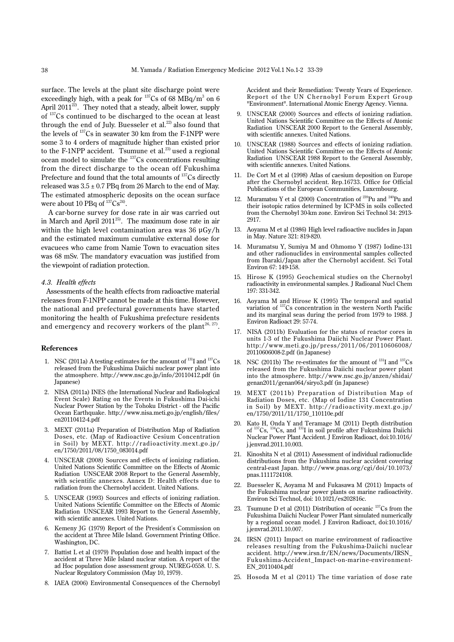surface. The levels at the plant site discharge point were exceedingly high, with a peak for  $^{137}Cs$  of 68 MBq/m<sup>3</sup> on 6 April 2011<sup>22)</sup>. They noted that a steady, albeit lower, supply of <sup>137</sup>Cs continued to be discharged to the ocean at least through the end of July. Buesseler et al.<sup>22)</sup> also found that the levels of <sup>137</sup> Cs in seawater 30 km from the F-1NPP were some 3 to 4 orders of magnitude higher than existed prior to the F-1NPP accident. Tsumune et al.<sup>23)</sup> used a regional ocean model to simulate the <sup>137</sup>Cs concentrations resulting from the direct discharge to the ocean off Fukushima Prefecture and found that the total amounts of <sup>137</sup>Cs directly released was  $3.5 \pm 0.7$  PBq from 26 March to the end of May. The estimated atmospheric deposits on the ocean surface were about 10 PBq of  $^{137}\mathrm{Cs}^{24)}$ .

 A car-borne survey for dose rate in air was carried out in March and April 2011<sup>25)</sup>. The maximum dose rate in air within the high level contamination area was 36 μGy/h and the estimated maximum cumulative external dose for evacuees who came from Namie Town to evacuation sites was 68 mSv. The mandatory evacuation was justified from the viewpoint of radiation protection.

## *4.3. Health effects*

Assessments of the health effects from radioactive material releases from F-1NPP cannot be made at this time. However, the national and prefectural governments have started monitoring the health of Fukushima prefecture residents and emergency and recovery workers of the plant<sup>26, 27</sup>.

## **References**

- 1. NSC (2011a) A testing estimates for the amount of  $^{131}I$  and  $^{137}Cs$ released from the Fukushima Daiichi nuclear power plant into the atmosphere. http://www.nsc.go.jp/info/20110412.pdf (in Japanese)
- 2. NISA (2011a) INES (the International Nuclear and Radiological Event Scale) Rating on the Events in Fukushima Dai-ichi Nuclear Power Station by the Tohoku District - off the Pacific Ocean Earthquake. http://www.nisa.meti.go.jp/english/files/ en20110412-4.pdf
- 3. MEXT (2011a) Preparation of Distribution Map of Radiation Doses, etc. (Map of Radioactive Cesium Concentration in Soil) by MEXT. http://radioactivity.mext.go.jp/ en/1750/2011/08/1750\_083014.pdf
- 4. UNSCEAR (2008) Sources and effects of ionizing radiation. United Nations Scientific Committee on the Effects of Atomic Radiation UNSCEAR 2008 Report to the General Assembly, with scientific annexes. Annex D: Health effects due to radiation from the Chernobyl accident. United Nations.
- 5. UNSCEAR (1993) Sources and effects of ionizing radiation. United Nations Scientific Committee on the Effects of Atomic Radiation UNSCEAR 1993 Report to the General Assembly, with scientific annexes. United Nations.
- 6. Kemeny JG (1979) Report of the President's Commission on the accident at Three Mile Island. Government Printing Office. Washington, DC.
- 7. Battist L et al (1979) Population dose and health impact of the accident at Three Mile Island nuclear station. A report of the ad Hoc population dose assessment group. NUREG-0558. U. S. Nuclear Regulatory Commission (May 10, 1979).
- 8. IAEA (2006) Environmental Consequences of the Chernobyl

Accident and their Remediation: Twenty Years of Experience. Report of the UN Chernobyl Forum Expert Group "Environment". International Atomic Energy Agency. Vienna.

- 9. UNSCEAR (2000) Sources and effects of ionizing radiation. United Nations Scientific Committee on the Effects of Atomic Radiation UNSCEAR 2000 Report to the General Assembly, with scientific annexes. United Nations.
- 10. UNSCEAR (1988) Sources and effects of ionizing radiation. United Nations Scientific Committee on the Effects of Atomic Radiation UNSCEAR 1988 Report to the General Assembly, with scientific annexes. United Nations.
- 11. De Cort M et al (1998) Atlas of caesium deposition on Europe after the Chernobyl accident. Rep.16733. Office for Official Publications of the European Communities, Luxembourg.
- 12. Muramatsu Y et al  $(2000)$  Concentration of  $^{239}$ Pu and  $^{240}$ Pu and their isotopic ratios determined by ICP-MS in soils collected from the Chernobyl 30-km zone. Environ Sci Technol 34: 2913- 2917.
- 13. Aoyama M et al (1986) High level radioactive nuclides in Japan in May. Nature 321: 819-820.
- 14. Muramatsu Y, Sumiya M and Ohmomo Y (1987) Iodine-131 and other radionuclides in environmental samples collected from Ibaraki/Japan after the Chernobyl accident. Sci Total Environ 67: 149-158.
- 15. Hirose K (1995) Geochemical studies on the Chernobyl radioactivity in environmental samples. J Radioanal Nucl Chem 197: 331-342.
- 16. Aoyama M and Hirose K (1995) The temporal and spatial variation of <sup>137</sup> Cs concentration in the western North Pacific and its marginal seas during the period from 1979 to 1988. J Environ Radioact 29: 57-74.
- 17. NISA (2011b) Evaluation for the status of reactor cores in units 1-3 of the Fukushima Daiichi Nuclear Power Plant. http://www.meti.go.jp/press/2011/06/20110606008/ 20110606008-2.pdf (in Japanese)
- 18. NSC (2011b) The re-estimates for the amount of  $^{131}I$  and  $^{137}Cs$ released from the Fukushima Daiichi nuclear power plant into the atmosphere. http://www.nsc.go.jp/anzen/shidai/ genan2011/genan064/siryo3.pdf (in Japanese)
- 19. MEXT (2011b) Preparation of Distribution Map of Radiation Doses, etc. (Map of Iodine 131 Concentration in Soil) by MEXT. http://radioactivity.mext.go.jp/ en/1750/2011/11/1750\_110110e.pdf
- 20. Kato H, Onda Y and Teramage M (2011) Depth distribution of <sup>137</sup>Cs, <sup>134</sup>Cs, and <sup>131</sup>I in soil profile after Fukushima Daiichi Nuclear Power Plant Accident. J Environ Radioact, doi:10.1016/ j.jenvrad.2011.10.003.
- 21. Kinoshita N et al (2011) Assessment of individual radionuclide distributions from the Fukushima nuclear accident covering central-east Japan. http://www.pnas.org/cgi/doi/10.1073/ pnas.1111724108.
- 22. Buesseler K, Aoyama M and Fukasawa M (2011) Impacts of the Fukushima nuclear power plants on marine radioactivity. Environ Sci Technol, doi: 10.1021/es202816c.
- 23. Tsumune D et al  $(2011)$  Distribution of oceanic  $^{137}Cs$  from the Fukushima Daiichi Nuclear Power Plant simulated numerically by a regional ocean model. J Environ Radioact, doi:10.1016/ j.jenvrad.2011.10.007.
- 24. IRSN (2011) Impact on marine environment of radioactive releases resulting from the Fukushima-Daiichi nuclear accident. http://www.irsn.fr/EN/news/Documents/IRSN\_ Fukushima-Accident\_Impact-on-marine-environment-EN\_20110404.pdf
- 25. Hosoda M et al (2011) The time variation of dose rate